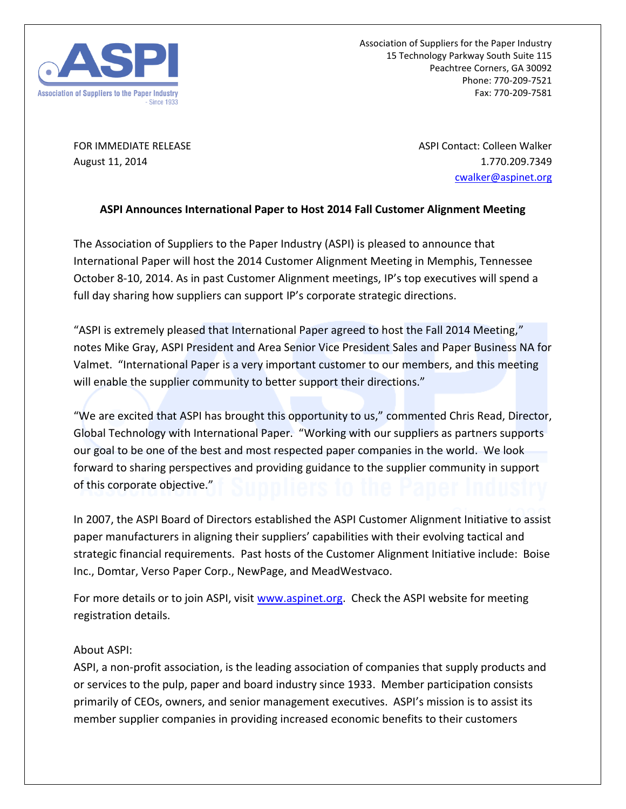

Association of Suppliers for the Paper Industry 15 Technology Parkway South Suite 115 Peachtree Corners, GA 30092 Phone: 770-209-7521 Fax: 770-209-7581

FOR IMMEDIATE RELEASE ASPI Contact: Colleen Walker August 11, 2014 **1.770.209.7349** [cwalker@aspinet.org](mailto:cwalker@aspinet.org)

## **ASPI Announces International Paper to Host 2014 Fall Customer Alignment Meeting**

The Association of Suppliers to the Paper Industry (ASPI) is pleased to announce that International Paper will host the 2014 Customer Alignment Meeting in Memphis, Tennessee October 8-10, 2014. As in past Customer Alignment meetings, IP's top executives will spend a full day sharing how suppliers can support IP's corporate strategic directions.

"ASPI is extremely pleased that International Paper agreed to host the Fall 2014 Meeting," notes Mike Gray, ASPI President and Area Senior Vice President Sales and Paper Business NA for Valmet. "International Paper is a very important customer to our members, and this meeting will enable the supplier community to better support their directions."

"We are excited that ASPI has brought this opportunity to us," commented Chris Read, Director, Global Technology with International Paper. "Working with our suppliers as partners supports our goal to be one of the best and most respected paper companies in the world. We look forward to sharing perspectives and providing guidance to the supplier community in support of this corporate objective."

In 2007, the ASPI Board of Directors established the ASPI Customer Alignment Initiative to assist paper manufacturers in aligning their suppliers' capabilities with their evolving tactical and strategic financial requirements. Past hosts of the Customer Alignment Initiative include: Boise Inc., Domtar, Verso Paper Corp., NewPage, and MeadWestvaco.

For more details or to join ASPI, visit [www.aspinet.org.](http://www.aspinet.org/) Check the ASPI website for meeting registration details.

## About ASPI:

ASPI, a non-profit association, is the leading association of companies that supply products and or services to the pulp, paper and board industry since 1933. Member participation consists primarily of CEOs, owners, and senior management executives. ASPI's mission is to assist its member supplier companies in providing increased economic benefits to their customers